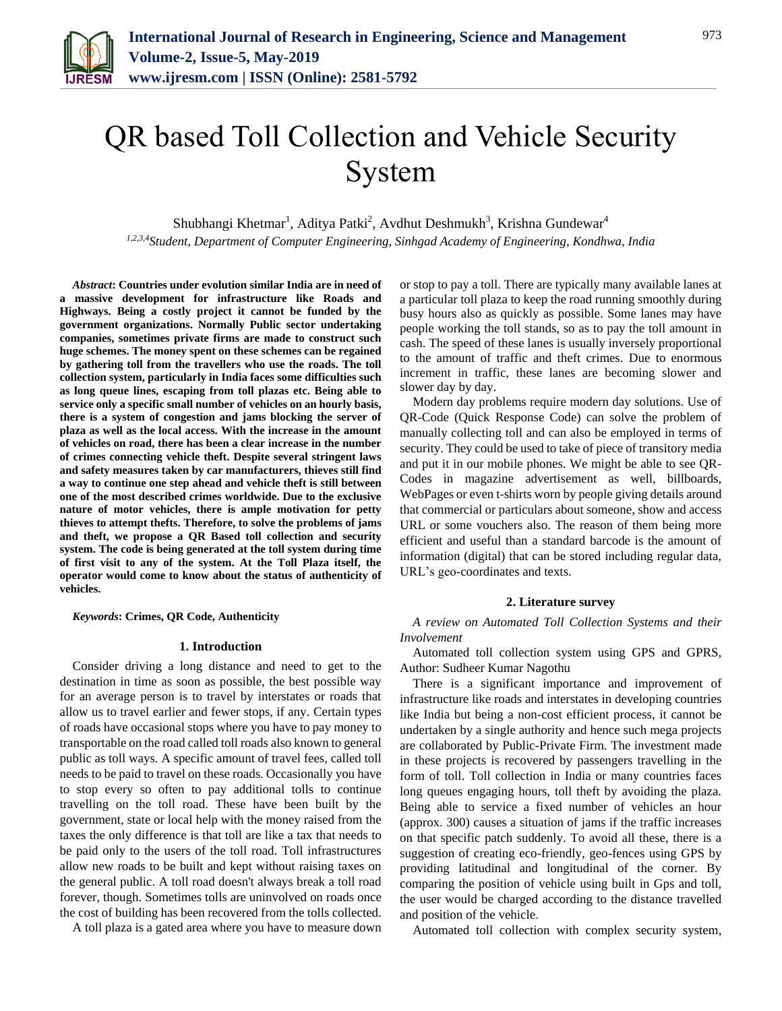

# QR based Toll Collection and Vehicle Security System

Shubhangi Khetmar<sup>1</sup>, Aditya Patki<sup>2</sup>, Avdhut Deshmukh<sup>3</sup>, Krishna Gundewar<sup>4</sup> *1,2,3,4Student, Department of Computer Engineering, Sinhgad Academy of Engineering, Kondhwa, India*

*Abstract***: Countries under evolution similar India are in need of a massive development for infrastructure like Roads and Highways. Being a costly project it cannot be funded by the government organizations. Normally Public sector undertaking companies, sometimes private firms are made to construct such huge schemes. The money spent on these schemes can be regained by gathering toll from the travellers who use the roads. The toll collection system, particularly in India faces some difficulties such as long queue lines, escaping from toll plazas etc. Being able to service only a specific small number of vehicles on an hourly basis, there is a system of congestion and jams blocking the server of plaza as well as the local access. With the increase in the amount of vehicles on road, there has been a clear increase in the number of crimes connecting vehicle theft. Despite several stringent laws and safety measures taken by car manufacturers, thieves still find a way to continue one step ahead and vehicle theft is still between one of the most described crimes worldwide. Due to the exclusive nature of motor vehicles, there is ample motivation for petty thieves to attempt thefts. Therefore, to solve the problems of jams and theft, we propose a QR Based toll collection and security system. The code is being generated at the toll system during time of first visit to any of the system. At the Toll Plaza itself, the operator would come to know about the status of authenticity of vehicles.**

*Keywords***: Crimes, QR Code, Authenticity** 

#### **1. Introduction**

Consider driving a long distance and need to get to the destination in time as soon as possible, the best possible way for an average person is to travel by interstates or roads that allow us to travel earlier and fewer stops, if any. Certain types of roads have occasional stops where you have to pay money to transportable on the road called toll roads also known to general public as toll ways. A specific amount of travel fees, called toll needs to be paid to travel on these roads. Occasionally you have to stop every so often to pay additional tolls to continue travelling on the toll road. These have been built by the government, state or local help with the money raised from the taxes the only difference is that toll are like a tax that needs to be paid only to the users of the toll road. Toll infrastructures allow new roads to be built and kept without raising taxes on the general public. A toll road doesn't always break a toll road forever, though. Sometimes tolls are uninvolved on roads once the cost of building has been recovered from the tolls collected.

A toll plaza is a gated area where you have to measure down

or stop to pay a toll. There are typically many available lanes at a particular toll plaza to keep the road running smoothly during busy hours also as quickly as possible. Some lanes may have people working the toll stands, so as to pay the toll amount in cash. The speed of these lanes is usually inversely proportional to the amount of traffic and theft crimes. Due to enormous increment in traffic, these lanes are becoming slower and slower day by day.

Modern day problems require modern day solutions. Use of QR-Code (Quick Response Code) can solve the problem of manually collecting toll and can also be employed in terms of security. They could be used to take of piece of transitory media and put it in our mobile phones. We might be able to see QR-Codes in magazine advertisement as well, billboards, WebPages or even t-shirts worn by people giving details around that commercial or particulars about someone, show and access URL or some vouchers also. The reason of them being more efficient and useful than a standard barcode is the amount of information (digital) that can be stored including regular data, URL's geo-coordinates and texts.

### **2. Literature survey**

*A review on Automated Toll Collection Systems and their Involvement*

Automated toll collection system using GPS and GPRS, Author: Sudheer Kumar Nagothu

There is a significant importance and improvement of infrastructure like roads and interstates in developing countries like India but being a non-cost efficient process, it cannot be undertaken by a single authority and hence such mega projects are collaborated by Public-Private Firm. The investment made in these projects is recovered by passengers travelling in the form of toll. Toll collection in India or many countries faces long queues engaging hours, toll theft by avoiding the plaza. Being able to service a fixed number of vehicles an hour (approx. 300) causes a situation of jams if the traffic increases on that specific patch suddenly. To avoid all these, there is a suggestion of creating eco-friendly, geo-fences using GPS by providing latitudinal and longitudinal of the corner. By comparing the position of vehicle using built in Gps and toll, the user would be charged according to the distance travelled and position of the vehicle.

Automated toll collection with complex security system,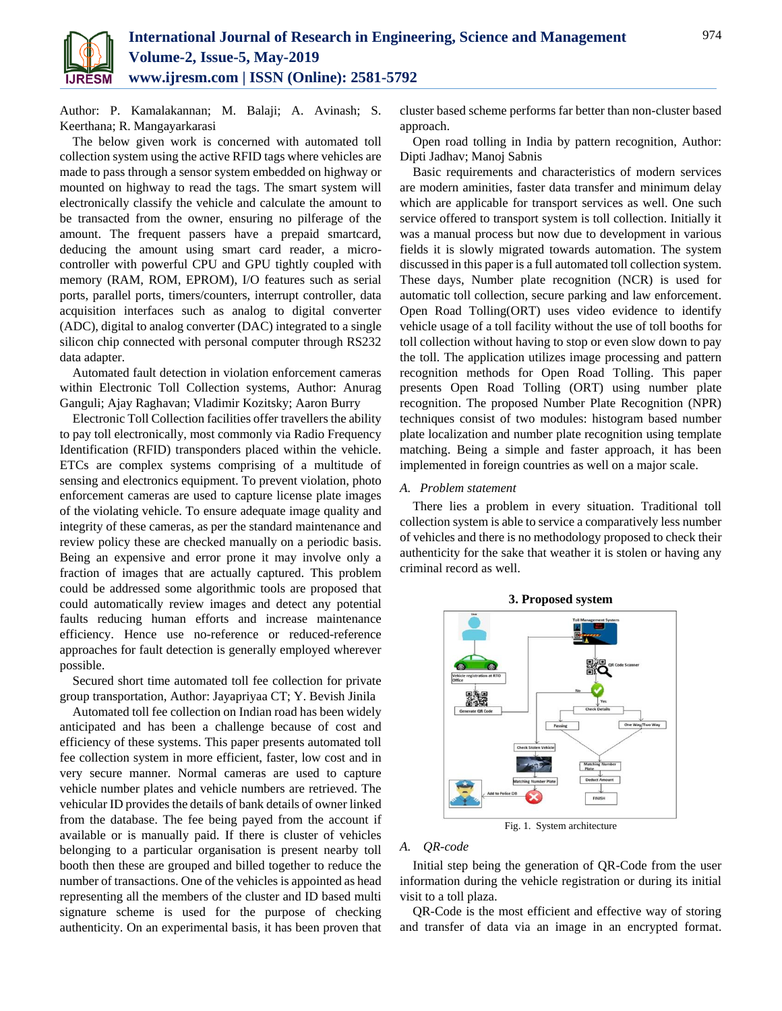

Author: P. Kamalakannan; M. Balaji; A. Avinash; S. Keerthana; R. Mangayarkarasi

The below given work is concerned with automated toll collection system using the active RFID tags where vehicles are made to pass through a sensor system embedded on highway or mounted on highway to read the tags. The smart system will electronically classify the vehicle and calculate the amount to be transacted from the owner, ensuring no pilferage of the amount. The frequent passers have a prepaid smartcard, deducing the amount using smart card reader, a microcontroller with powerful CPU and GPU tightly coupled with memory (RAM, ROM, EPROM), I/O features such as serial ports, parallel ports, timers/counters, interrupt controller, data acquisition interfaces such as analog to digital converter (ADC), digital to analog converter (DAC) integrated to a single silicon chip connected with personal computer through RS232 data adapter.

Automated fault detection in violation enforcement cameras within Electronic Toll Collection systems, Author: Anurag Ganguli; Ajay Raghavan; Vladimir Kozitsky; Aaron Burry

Electronic Toll Collection facilities offer travellers the ability to pay toll electronically, most commonly via Radio Frequency Identification (RFID) transponders placed within the vehicle. ETCs are complex systems comprising of a multitude of sensing and electronics equipment. To prevent violation, photo enforcement cameras are used to capture license plate images of the violating vehicle. To ensure adequate image quality and integrity of these cameras, as per the standard maintenance and review policy these are checked manually on a periodic basis. Being an expensive and error prone it may involve only a fraction of images that are actually captured. This problem could be addressed some algorithmic tools are proposed that could automatically review images and detect any potential faults reducing human efforts and increase maintenance efficiency. Hence use no-reference or reduced-reference approaches for fault detection is generally employed wherever possible.

Secured short time automated toll fee collection for private group transportation, Author: Jayapriyaa CT; Y. Bevish Jinila

Automated toll fee collection on Indian road has been widely anticipated and has been a challenge because of cost and efficiency of these systems. This paper presents automated toll fee collection system in more efficient, faster, low cost and in very secure manner. Normal cameras are used to capture vehicle number plates and vehicle numbers are retrieved. The vehicular ID provides the details of bank details of owner linked from the database. The fee being payed from the account if available or is manually paid. If there is cluster of vehicles belonging to a particular organisation is present nearby toll booth then these are grouped and billed together to reduce the number of transactions. One of the vehicles is appointed as head representing all the members of the cluster and ID based multi signature scheme is used for the purpose of checking authenticity. On an experimental basis, it has been proven that cluster based scheme performs far better than non-cluster based approach.

Open road tolling in India by pattern recognition, Author: Dipti Jadhav; Manoj Sabnis

Basic requirements and characteristics of modern services are modern aminities, faster data transfer and minimum delay which are applicable for transport services as well. One such service offered to transport system is toll collection. Initially it was a manual process but now due to development in various fields it is slowly migrated towards automation. The system discussed in this paper is a full automated toll collection system. These days, Number plate recognition (NCR) is used for automatic toll collection, secure parking and law enforcement. Open Road Tolling(ORT) uses video evidence to identify vehicle usage of a toll facility without the use of toll booths for toll collection without having to stop or even slow down to pay the toll. The application utilizes image processing and pattern recognition methods for Open Road Tolling. This paper presents Open Road Tolling (ORT) using number plate recognition. The proposed Number Plate Recognition (NPR) techniques consist of two modules: histogram based number plate localization and number plate recognition using template matching. Being a simple and faster approach, it has been implemented in foreign countries as well on a major scale.

#### *A. Problem statement*

There lies a problem in every situation. Traditional toll collection system is able to service a comparatively less number of vehicles and there is no methodology proposed to check their authenticity for the sake that weather it is stolen or having any criminal record as well.



**3. Proposed system**

Fig. 1. System architecture

## *A. QR-code*

Initial step being the generation of QR-Code from the user information during the vehicle registration or during its initial visit to a toll plaza.

QR-Code is the most efficient and effective way of storing and transfer of data via an image in an encrypted format.